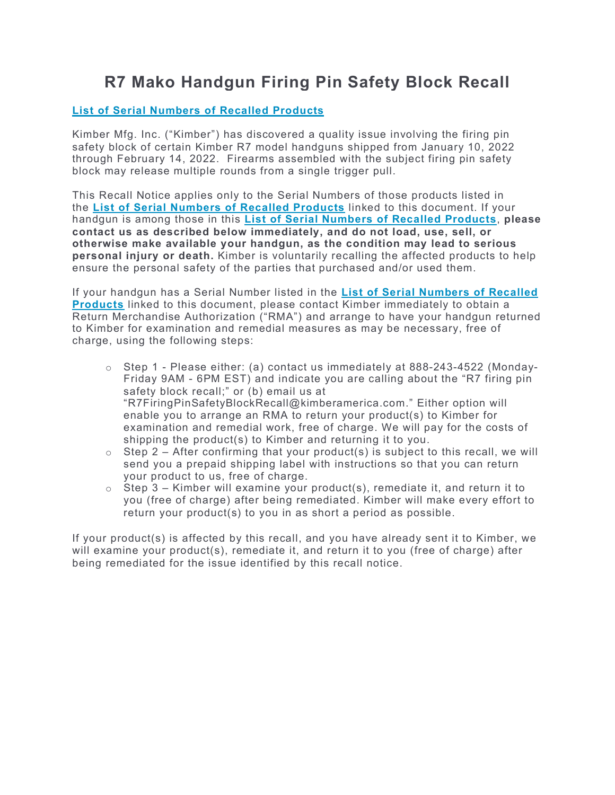## **R7 Mako Handgun Firing Pin Safety Block Recall**

## **List of Serial Numbers of Recalled Products**

Kimber Mfg. Inc. ("Kimber") has discovered a quality issue involving the firing pin safety block of certain Kimber R7 model handguns shipped from January 10, 2022 through February 14, 2022. Firearms assembled with the subject firing pin safety block may release multiple rounds from a single trigger pull.

This Recall Notice applies only to the Serial Numbers of those products listed in the **List of Serial Numbers of Recalled Products** linked to this document. If your handgun is among those in this **List of Serial Numbers of Recalled Products**, **please contact us as described below immediately, and do not load, use, sell, or otherwise make available your handgun, as the condition may lead to serious personal injury or death.** Kimber is voluntarily recalling the affected products to help ensure the personal safety of the parties that purchased and/or used them.

If your handgun has a Serial Number listed in the **List of Serial Numbers of Recalled Products** linked to this document, please contact Kimber immediately to obtain a Return Merchandise Authorization ("RMA") and arrange to have your handgun returned to Kimber for examination and remedial measures as may be necessary, free of charge, using the following steps:

- o Step 1 Please either: (a) contact us immediately at 888-243-4522 (Monday-Friday 9AM - 6PM EST) and indicate you are calling about the "R7 firing pin safety block recall;" or (b) email us at "R7FiringPinSafetyBlockRecall@kimberamerica.com." Either option will enable you to arrange an RMA to return your product(s) to Kimber for examination and remedial work, free of charge. We will pay for the costs of shipping the product(s) to Kimber and returning it to you.
- $\circ$  Step 2 After confirming that your product(s) is subject to this recall, we will send you a prepaid shipping label with instructions so that you can return your product to us, free of charge.
- o Step 3 Kimber will examine your product(s), remediate it, and return it to you (free of charge) after being remediated. Kimber will make every effort to return your product(s) to you in as short a period as possible.

If your product(s) is affected by this recall, and you have already sent it to Kimber, we will examine your product(s), remediate it, and return it to you (free of charge) after being remediated for the issue identified by this recall notice.